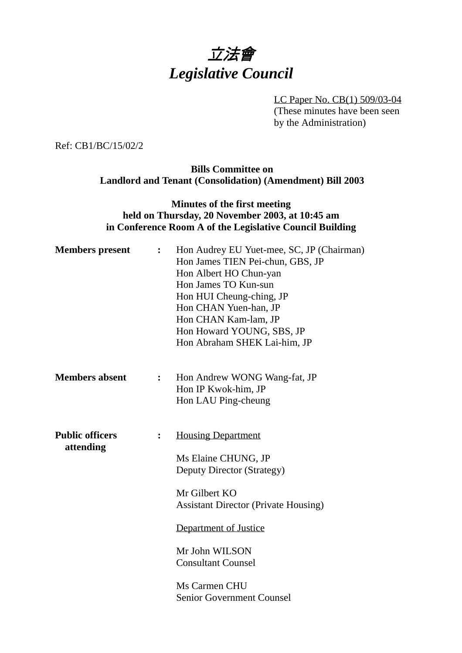# 立法會 *Legislative Council*

LC Paper No. CB(1) 509/03-04 (These minutes have been seen by the Administration)

Ref: CB1/BC/15/02/2

#### **Bills Committee on Landlord and Tenant (Consolidation) (Amendment) Bill 2003**

### **Minutes of the first meeting held on Thursday, 20 November 2003, at 10:45 am in Conference Room A of the Legislative Council Building**

| <b>Members</b> present              | $\ddot{\cdot}$ | Hon Audrey EU Yuet-mee, SC, JP (Chairman)<br>Hon James TIEN Pei-chun, GBS, JP<br>Hon Albert HO Chun-yan<br>Hon James TO Kun-sun<br>Hon HUI Cheung-ching, JP<br>Hon CHAN Yuen-han, JP<br>Hon CHAN Kam-lam, JP<br>Hon Howard YOUNG, SBS, JP<br>Hon Abraham SHEK Lai-him, JP   |
|-------------------------------------|----------------|-----------------------------------------------------------------------------------------------------------------------------------------------------------------------------------------------------------------------------------------------------------------------------|
| <b>Members absent</b>               | $\ddot{\cdot}$ | Hon Andrew WONG Wang-fat, JP<br>Hon IP Kwok-him, JP<br>Hon LAU Ping-cheung                                                                                                                                                                                                  |
| <b>Public officers</b><br>attending | $\ddot{\cdot}$ | <b>Housing Department</b><br>Ms Elaine CHUNG, JP<br>Deputy Director (Strategy)<br>Mr Gilbert KO<br><b>Assistant Director (Private Housing)</b><br>Department of Justice<br>Mr John WILSON<br><b>Consultant Counsel</b><br>Ms Carmen CHU<br><b>Senior Government Counsel</b> |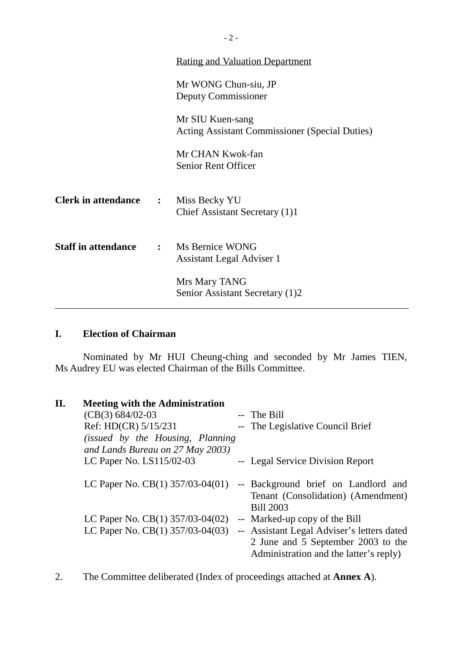|                                            | <u>Rating and Valuation Department</u>                                    |
|--------------------------------------------|---------------------------------------------------------------------------|
|                                            | Mr WONG Chun-siu, JP<br>Deputy Commissioner                               |
|                                            | Mr SIU Kuen-sang<br><b>Acting Assistant Commissioner (Special Duties)</b> |
|                                            | Mr CHAN Kwok-fan<br><b>Senior Rent Officer</b>                            |
| <b>Clerk in attendance :</b> Miss Becky YU | Chief Assistant Secretary (1)1                                            |
| <b>Staff in attendance</b>                 | : Ms Bernice WONG<br>Assistant Legal Adviser 1                            |
|                                            | Mrs Mary TANG<br>Senior Assistant Secretary (1)2                          |

## **I. Election of Chairman**

Nominated by Mr HUI Cheung-ching and seconded by Mr James TIEN, Ms Audrey EU was elected Chairman of the Bills Committee.

| II. | <b>Meeting with the Administration</b>                                       |                                                                                                                            |
|-----|------------------------------------------------------------------------------|----------------------------------------------------------------------------------------------------------------------------|
|     | $(CB(3) 684/02-03)$                                                          | -- The Bill                                                                                                                |
|     | Ref: HD(CR) 5/15/231                                                         | -- The Legislative Council Brief                                                                                           |
|     | <i>(issued by the Housing, Planning)</i><br>and Lands Bureau on 27 May 2003) |                                                                                                                            |
|     | LC Paper No. LS115/02-03                                                     | -- Legal Service Division Report                                                                                           |
|     | LC Paper No. $CB(1)$ 357/03-04(01)                                           | -- Background brief on Landlord and<br>Tenant (Consolidation) (Amendment)<br><b>Bill 2003</b>                              |
|     | LC Paper No. CB $(1)$ 357/03-04 $(02)$                                       | -- Marked-up copy of the Bill                                                                                              |
|     | LC Paper No. CB $(1)$ 357/03-04 $(03)$                                       | -- Assistant Legal Adviser's letters dated<br>2 June and 5 September 2003 to the<br>Administration and the latter's reply) |

2. The Committee deliberated (Index of proceedings attached at **Annex A**).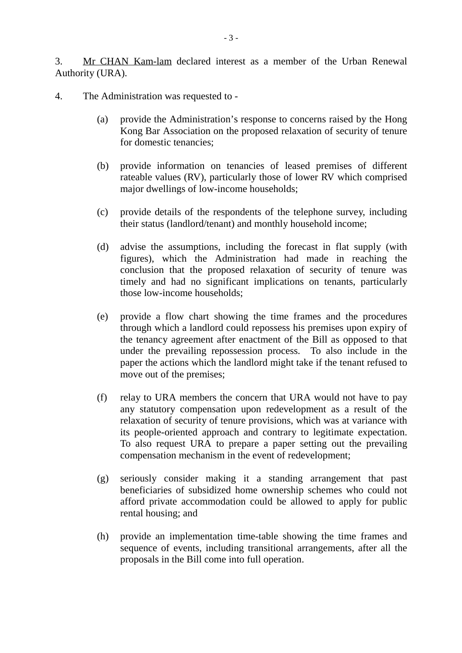3. Mr CHAN Kam-lam declared interest as a member of the Urban Renewal Authority (URA).

4. The Administration was requested to -

- (a) provide the Administration's response to concerns raised by the Hong Kong Bar Association on the proposed relaxation of security of tenure for domestic tenancies;
- (b) provide information on tenancies of leased premises of different rateable values (RV), particularly those of lower RV which comprised major dwellings of low-income households;
- (c) provide details of the respondents of the telephone survey, including their status (landlord/tenant) and monthly household income;
- (d) advise the assumptions, including the forecast in flat supply (with figures), which the Administration had made in reaching the conclusion that the proposed relaxation of security of tenure was timely and had no significant implications on tenants, particularly those low-income households;
- (e) provide a flow chart showing the time frames and the procedures through which a landlord could repossess his premises upon expiry of the tenancy agreement after enactment of the Bill as opposed to that under the prevailing repossession process. To also include in the paper the actions which the landlord might take if the tenant refused to move out of the premises;
- (f) relay to URA members the concern that URA would not have to pay any statutory compensation upon redevelopment as a result of the relaxation of security of tenure provisions, which was at variance with its people-oriented approach and contrary to legitimate expectation. To also request URA to prepare a paper setting out the prevailing compensation mechanism in the event of redevelopment;
- (g) seriously consider making it a standing arrangement that past beneficiaries of subsidized home ownership schemes who could not afford private accommodation could be allowed to apply for public rental housing; and
- (h) provide an implementation time-table showing the time frames and sequence of events, including transitional arrangements, after all the proposals in the Bill come into full operation.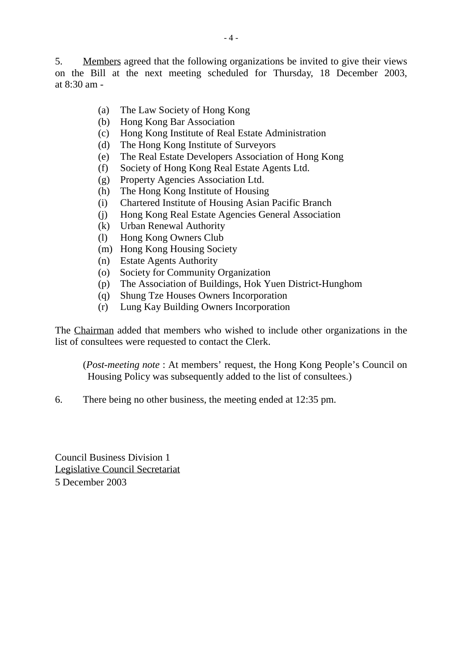5. Members agreed that the following organizations be invited to give their views on the Bill at the next meeting scheduled for Thursday, 18 December 2003, at 8:30 am -

- (a) The Law Society of Hong Kong
- (b) Hong Kong Bar Association
- (c) Hong Kong Institute of Real Estate Administration
- (d) The Hong Kong Institute of Surveyors
- (e) The Real Estate Developers Association of Hong Kong
- (f) Society of Hong Kong Real Estate Agents Ltd.
- (g) Property Agencies Association Ltd.
- (h) The Hong Kong Institute of Housing
- (i) Chartered Institute of Housing Asian Pacific Branch
- (j) Hong Kong Real Estate Agencies General Association
- (k) Urban Renewal Authority
- (l) Hong Kong Owners Club
- (m) Hong Kong Housing Society
- (n) Estate Agents Authority
- (o) Society for Community Organization
- (p) The Association of Buildings, Hok Yuen District-Hunghom
- (q) Shung Tze Houses Owners Incorporation
- (r) Lung Kay Building Owners Incorporation

The Chairman added that members who wished to include other organizations in the list of consultees were requested to contact the Clerk.

(*Post-meeting note* : At members' request, the Hong Kong People's Council on Housing Policy was subsequently added to the list of consultees.)

6. There being no other business, the meeting ended at 12:35 pm.

Council Business Division 1 Legislative Council Secretariat 5 December 2003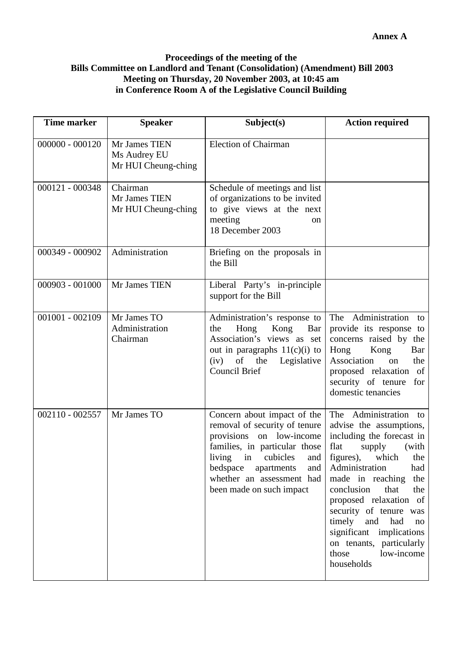#### **Proceedings of the meeting of the Bills Committee on Landlord and Tenant (Consolidation) (Amendment) Bill 2003 Meeting on Thursday, 20 November 2003, at 10:45 am in Conference Room A of the Legislative Council Building**

| <b>Time marker</b> | <b>Speaker</b>                                       | Subject(s)                                                                                                                                                                                                                                             | <b>Action required</b>                                                                                                                                                                                                                                                                                                                                                                                      |
|--------------------|------------------------------------------------------|--------------------------------------------------------------------------------------------------------------------------------------------------------------------------------------------------------------------------------------------------------|-------------------------------------------------------------------------------------------------------------------------------------------------------------------------------------------------------------------------------------------------------------------------------------------------------------------------------------------------------------------------------------------------------------|
| $000000 - 000120$  | Mr James TIEN<br>Ms Audrey EU<br>Mr HUI Cheung-ching | <b>Election of Chairman</b>                                                                                                                                                                                                                            |                                                                                                                                                                                                                                                                                                                                                                                                             |
| 000121 - 000348    | Chairman<br>Mr James TIEN<br>Mr HUI Cheung-ching     | Schedule of meetings and list<br>of organizations to be invited<br>to give views at the next<br>meeting<br>on<br>18 December 2003                                                                                                                      |                                                                                                                                                                                                                                                                                                                                                                                                             |
| 000349 - 000902    | Administration                                       | Briefing on the proposals in<br>the Bill                                                                                                                                                                                                               |                                                                                                                                                                                                                                                                                                                                                                                                             |
| 000903 - 001000    | Mr James TIEN                                        | Liberal Party's in-principle<br>support for the Bill                                                                                                                                                                                                   |                                                                                                                                                                                                                                                                                                                                                                                                             |
| $001001 - 002109$  | Mr James TO<br>Administration<br>Chairman            | Administration's response to<br>Hong<br>Kong<br>Bar<br>the<br>Association's views as set<br>out in paragraphs $11(c)(i)$ to<br>of the Legislative<br>(iv)<br>Council Brief                                                                             | The Administration<br>to<br>provide its response to<br>concerns raised by the<br>Hong<br>Kong<br>Bar<br>Association<br>the<br>on<br>proposed relaxation of<br>security of tenure<br>for<br>domestic tenancies                                                                                                                                                                                               |
| 002110 - 002557    | Mr James TO                                          | Concern about impact of the<br>removal of security of tenure<br>provisions on low-income<br>families, in particular those<br>living<br>cubicles<br>in<br>and<br>bedspace<br>apartments<br>and<br>whether an assessment had<br>been made on such impact | The Administration to<br>advise the assumptions,<br>including the forecast in<br>flat<br>supply<br>(with<br>figures),<br>which<br>the<br>Administration<br>had<br>made in reaching<br>the<br>conclusion<br>that<br>the<br>proposed relaxation of<br>security of tenure was<br>timely<br>and<br>had<br>$\rm no$<br>significant implications<br>on tenants, particularly<br>those<br>low-income<br>households |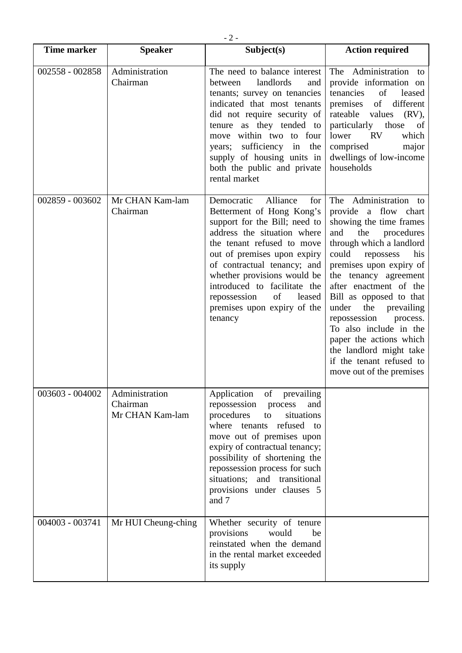| <b>Time marker</b> | <b>Speaker</b>                                | Subject(s)                                                                                                                                                                                                                                                                                                                                                      | <b>Action required</b>                                                                                                                                                                                                                                                                                                                                                                                                                                                |
|--------------------|-----------------------------------------------|-----------------------------------------------------------------------------------------------------------------------------------------------------------------------------------------------------------------------------------------------------------------------------------------------------------------------------------------------------------------|-----------------------------------------------------------------------------------------------------------------------------------------------------------------------------------------------------------------------------------------------------------------------------------------------------------------------------------------------------------------------------------------------------------------------------------------------------------------------|
| 002558 - 002858    | Administration<br>Chairman                    | The need to balance interest<br>landlords<br>between<br>and<br>tenants; survey on tenancies<br>indicated that most tenants<br>did not require security of<br>tenure as they tended to<br>move within two to four<br>sufficiency in<br>the<br>years;<br>supply of housing units in<br>both the public and private<br>rental market                               | The Administration to<br>provide information on<br>tenancies<br>of<br>leased<br>of<br>different<br>premises<br>rateable values<br>$(RV)$ ,<br>particularly those<br>of<br>lower<br><b>RV</b><br>which<br>comprised<br>major<br>dwellings of low-income<br>households                                                                                                                                                                                                  |
| 002859 - 003602    | Mr CHAN Kam-lam<br>Chairman                   | Democratic<br>Alliance<br>for<br>Betterment of Hong Kong's<br>support for the Bill; need to<br>address the situation where<br>the tenant refused to move<br>out of premises upon expiry<br>of contractual tenancy; and<br>whether provisions would be<br>introduced to facilitate the<br>of<br>repossession<br>leased<br>premises upon expiry of the<br>tenancy | The Administration to<br>provide a flow chart<br>showing the time frames<br>and<br>the<br>procedures<br>through which a landlord<br>could<br>his<br>repossess<br>premises upon expiry of<br>the tenancy agreement<br>after enactment of the<br>Bill as opposed to that<br>the prevailing<br>under<br>repossession<br>process.<br>To also include in the<br>paper the actions which<br>the landlord might take<br>if the tenant refused to<br>move out of the premises |
| 003603 - 004002    | Administration<br>Chairman<br>Mr CHAN Kam-lam | of prevailing<br>Application<br>repossession<br>process<br>and<br>procedures<br>situations<br>to<br>where tenants<br>refused to<br>move out of premises upon<br>expiry of contractual tenancy;<br>possibility of shortening the<br>repossession process for such<br>situations; and transitional<br>provisions under clauses 5<br>and 7                         |                                                                                                                                                                                                                                                                                                                                                                                                                                                                       |
| 004003 - 003741    | Mr HUI Cheung-ching                           | Whether security of tenure<br>provisions<br>would<br>be<br>reinstated when the demand<br>in the rental market exceeded<br>its supply                                                                                                                                                                                                                            |                                                                                                                                                                                                                                                                                                                                                                                                                                                                       |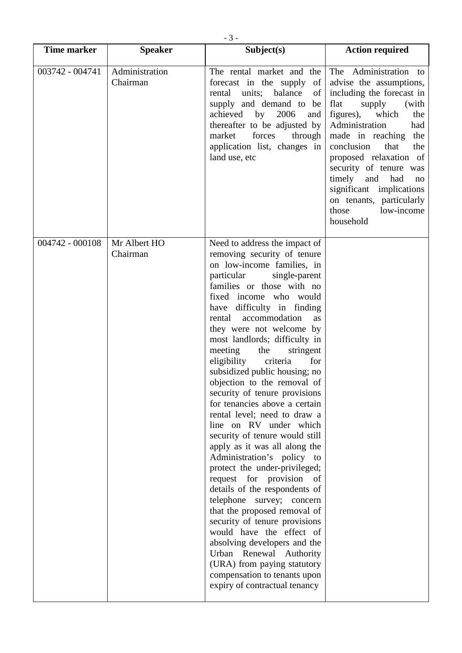|                    |                            | $-3-$                                                                                                                                                                                                                                                                                                                                                                                                                                                                                                                                                                                                                                                                                                                                                                                                                                                                                                                                                                                                                                                                 |                                                                                                                                                                                                                                                                                                                                                                                                      |
|--------------------|----------------------------|-----------------------------------------------------------------------------------------------------------------------------------------------------------------------------------------------------------------------------------------------------------------------------------------------------------------------------------------------------------------------------------------------------------------------------------------------------------------------------------------------------------------------------------------------------------------------------------------------------------------------------------------------------------------------------------------------------------------------------------------------------------------------------------------------------------------------------------------------------------------------------------------------------------------------------------------------------------------------------------------------------------------------------------------------------------------------|------------------------------------------------------------------------------------------------------------------------------------------------------------------------------------------------------------------------------------------------------------------------------------------------------------------------------------------------------------------------------------------------------|
| <b>Time marker</b> | <b>Speaker</b>             | Subject(s)                                                                                                                                                                                                                                                                                                                                                                                                                                                                                                                                                                                                                                                                                                                                                                                                                                                                                                                                                                                                                                                            | <b>Action required</b>                                                                                                                                                                                                                                                                                                                                                                               |
| 003742 - 004741    | Administration<br>Chairman | The rental market and the<br>forecast in the supply<br>of<br>units;<br>rental<br>balance<br>of<br>supply and demand to<br>be<br>achieved by 2006<br>and<br>thereafter to be adjusted by<br>market<br>forces<br>through<br>application list, changes in<br>land use, etc                                                                                                                                                                                                                                                                                                                                                                                                                                                                                                                                                                                                                                                                                                                                                                                               | The Administration to<br>advise the assumptions,<br>including the forecast in<br>flat<br>supply<br>(with<br>figures),<br>which<br>the<br>Administration<br>had<br>made in reaching<br>the<br>conclusion<br>that<br>the<br>proposed relaxation of<br>security of tenure was<br>timely<br>and<br>had<br>no<br>significant implications<br>on tenants, particularly<br>those<br>low-income<br>household |
| 004742 - 000108    | Mr Albert HO<br>Chairman   | Need to address the impact of<br>removing security of tenure<br>on low-income families, in<br>particular<br>single-parent<br>families or those with no<br>fixed income who would<br>difficulty in finding<br>have<br>accommodation<br>rental<br>as<br>they were not welcome by<br>most landlords; difficulty in<br>meeting<br>the<br>stringent<br>eligibility<br>criteria<br>for<br>subsidized public housing; no<br>objection to the removal of<br>security of tenure provisions<br>for tenancies above a certain<br>rental level; need to draw a<br>line on RV under which<br>security of tenure would still<br>apply as it was all along the<br>Administration's policy to<br>protect the under-privileged;<br>request for provision<br>- of<br>details of the respondents of<br>telephone survey; concern<br>that the proposed removal of<br>security of tenure provisions<br>would have the effect of<br>absolving developers and the<br>Urban Renewal Authority<br>(URA) from paying statutory<br>compensation to tenants upon<br>expiry of contractual tenancy |                                                                                                                                                                                                                                                                                                                                                                                                      |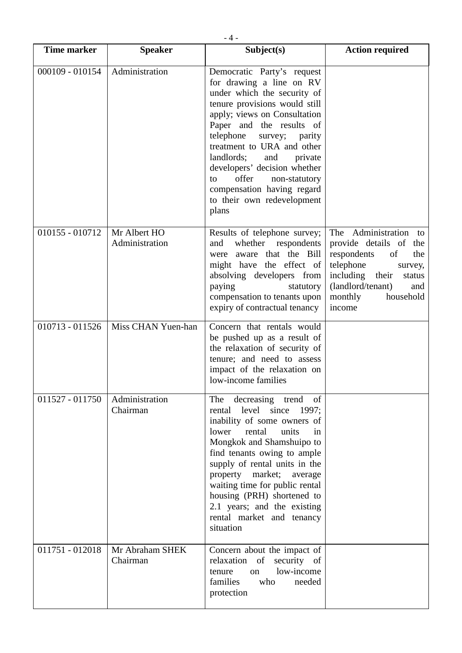| <b>Time marker</b> | <b>Speaker</b>                 | Subject(s)                                                                                                                                                                                                                                                                                                                                                                                                           | <b>Action required</b>                                                                                                                                                                            |
|--------------------|--------------------------------|----------------------------------------------------------------------------------------------------------------------------------------------------------------------------------------------------------------------------------------------------------------------------------------------------------------------------------------------------------------------------------------------------------------------|---------------------------------------------------------------------------------------------------------------------------------------------------------------------------------------------------|
| 000109 - 010154    | Administration                 | Democratic Party's request<br>for drawing a line on RV<br>under which the security of<br>tenure provisions would still<br>apply; views on Consultation<br>Paper and the results of<br>telephone<br>survey; parity<br>treatment to URA and other<br>landlords;<br>and<br>private<br>developers' decision whether<br>offer<br>non-statutory<br>to<br>compensation having regard<br>to their own redevelopment<br>plans |                                                                                                                                                                                                   |
| 010155 - 010712    | Mr Albert HO<br>Administration | Results of telephone survey;<br>whether respondents<br>and<br>aware that the Bill<br>were<br>might have the effect of<br>absolving developers from<br>paying<br>statutory<br>compensation to tenants upon<br>expiry of contractual tenancy                                                                                                                                                                           | The Administration<br>to<br>provide details of the<br>respondents<br>of<br>the<br>telephone<br>survey,<br>including their<br>status<br>(landlord/tenant)<br>and<br>monthly<br>household<br>income |
| 010713 - 011526    | Miss CHAN Yuen-han             | Concern that rentals would<br>be pushed up as a result of<br>the relaxation of security of<br>tenure; and need to assess<br>impact of the relaxation on<br>low-income families                                                                                                                                                                                                                                       |                                                                                                                                                                                                   |
| $011527 - 011750$  | Administration<br>Chairman     | decreasing trend<br>The<br>of<br>rental level since 1997;<br>inability of some owners of<br>lower<br>units<br>rental<br>in<br>Mongkok and Shamshuipo to<br>find tenants owing to ample<br>supply of rental units in the<br>property market;<br>average<br>waiting time for public rental<br>housing (PRH) shortened to<br>2.1 years; and the existing<br>rental market and tenancy<br>situation                      |                                                                                                                                                                                                   |
| $011751 - 012018$  | Mr Abraham SHEK<br>Chairman    | Concern about the impact of<br>security of<br>relaxation of<br>low-income<br>tenure<br>on<br>families<br>who<br>needed<br>protection                                                                                                                                                                                                                                                                                 |                                                                                                                                                                                                   |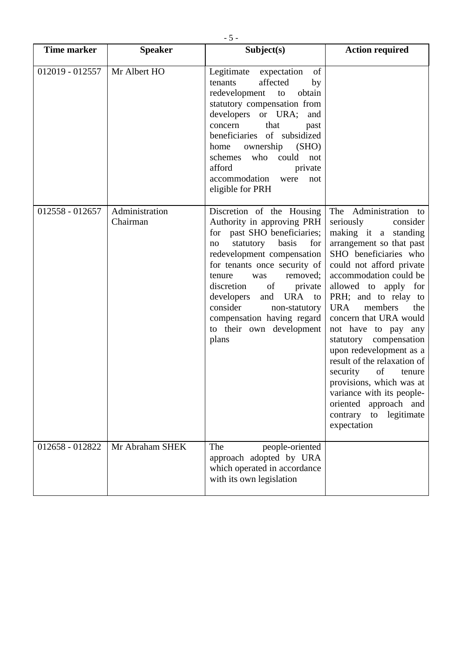| <b>Time marker</b> | <b>Speaker</b>             | Subject(s)                                                                                                                                                                                                                                                                                                                                                                                | <b>Action required</b>                                                                                                                                                                                                                                                                                                                                                                                                                                                                                                                                                 |
|--------------------|----------------------------|-------------------------------------------------------------------------------------------------------------------------------------------------------------------------------------------------------------------------------------------------------------------------------------------------------------------------------------------------------------------------------------------|------------------------------------------------------------------------------------------------------------------------------------------------------------------------------------------------------------------------------------------------------------------------------------------------------------------------------------------------------------------------------------------------------------------------------------------------------------------------------------------------------------------------------------------------------------------------|
| 012019 - 012557    | Mr Albert HO               | Legitimate expectation<br>of<br>affected<br>by<br>tenants<br>redevelopment<br>obtain<br>to<br>statutory compensation from<br>developers or URA;<br>and<br>that<br>concern<br>past<br>beneficiaries of subsidized<br>ownership (SHO)<br>home<br>schemes who could<br>not<br>afford<br>private<br>accommodation<br>were<br>not<br>eligible for PRH                                          |                                                                                                                                                                                                                                                                                                                                                                                                                                                                                                                                                                        |
| 012558 - 012657    | Administration<br>Chairman | Discretion of the Housing<br>Authority in approving PRH<br>for past SHO beneficiaries;<br>statutory basis<br>for<br>no<br>redevelopment compensation<br>for tenants once security of<br>removed;<br>tenure<br>was<br>of<br>discretion<br>private<br>developers<br>and<br><b>URA</b><br>to<br>consider<br>non-statutory<br>compensation having regard<br>to their own development<br>plans | The Administration to<br>seriously<br>consider<br>making it a standing<br>arrangement so that past<br>SHO beneficiaries who<br>could not afford private<br>accommodation could be<br>allowed to apply for<br>PRH; and to relay to<br><b>URA</b><br>members<br>the<br>concern that URA would<br>not have to pay any<br>statutory compensation<br>upon redevelopment as a<br>result of the relaxation of<br>of<br>security<br>tenure<br>provisions, which was at<br>variance with its people-<br>oriented<br>approach and<br>legitimate<br>contrary<br>to<br>expectation |
| 012658 - 012822    | Mr Abraham SHEK            | The<br>people-oriented<br>approach adopted by URA<br>which operated in accordance<br>with its own legislation                                                                                                                                                                                                                                                                             |                                                                                                                                                                                                                                                                                                                                                                                                                                                                                                                                                                        |